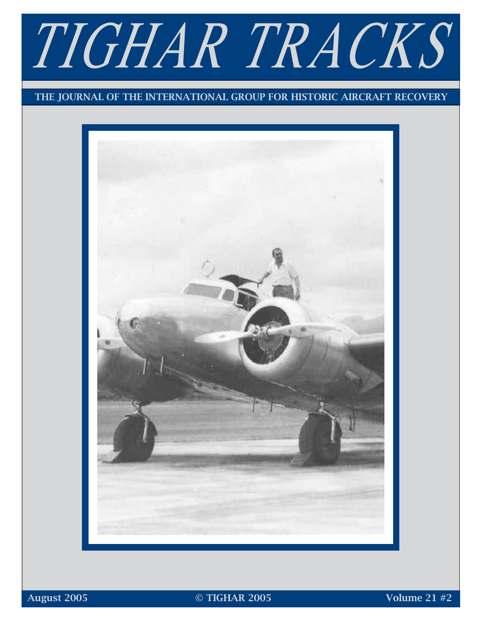

#### THE JOURNAL OF THE INTERNATIONAL GROUP FOR HISTORIC AIRCRAFT RECOVERY

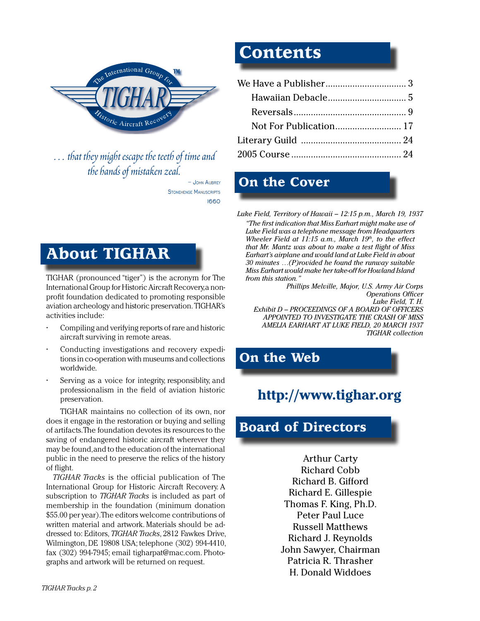

*… that they might escape the teeth of time and the hands of mistaken zeal.* – John Aubrey

STONEHENGE MANUSCRIPTS 1660

# About TIGHAR

TIGHAR (pronounced "tiger") is the acronym for The International Group for Historic Aircraft Recovery, a nonprofit foundation dedicated to promoting responsible aviation archeology and historic preservation. TIGHAR's activities include:

- Compiling and verifying reports of rare and historic aircraft surviving in remote areas.
- Conducting investigations and recovery expeditions in co-operation with museums and collections worldwide.
- Serving as a voice for integrity, responsiblity, and professionalism in the field of aviation historic preservation.

TIGHAR maintains no collection of its own, nor does it engage in the restoration or buying and selling of artifacts. The foundation devotes its resources to the saving of endangered historic aircraft wherever they may be found, and to the education of the international public in the need to preserve the relics of the history of flight.

*TIGHAR Tracks* is the official publication of The International Group for Historic Aircraft Recovery. A subscription to *TIGHAR Tracks* is included as part of membership in the foundation (minimum donation \$55.00 per year). The editors welcome contributions of written material and artwork. Materials should be addressed to: Editors, *TIGHAR Tracks*, 2812 Fawkes Drive, Wilmington, DE 19808 USA; telephone (302) 994-4410, fax (302) 994-7945; email tigharpat@mac.com. Photographs and artwork will be returned on request.

# Contents

# On the Cover

*Luke Field, Territory of Hawaii – 12:15 p.m., March 19, 1937 "The first indication that Miss Earhart might make use of Luke Field was a telephone message from Headquarters Wheeler Field at 11:15 a.m., March 19<sup>th</sup>, to the effect that Mr. Mantz was about to make a test flight of Miss Earhart's airplane and would land at Luke Field in about 30 minutes …(P)rovided he found the runway suitable Miss Earhart would make her take-off for Howland Island from this station."*

*Phillips Melville, Major, U.S. Army Air Corps Operations Officer Luke Field, T. H. Exhibit D – PROCEEDINGS OF A BOARD OF OFFICERS* 

*APPOINTED TO INVESTIGATE THE CRASH OF MISS AMELIA EARHART AT LUKE FIELD, 20 MARCH 1937 TIGHAR collection*

On the Web

# **http://www.tighar.org**

# Board of Directors

Arthur Carty Richard Cobb Richard B. Gifford Richard E. Gillespie Thomas F. King, Ph.D. Peter Paul Luce Russell Matthews Richard J. Reynolds John Sawyer, Chairman Patricia R. Thrasher H. Donald Widdoes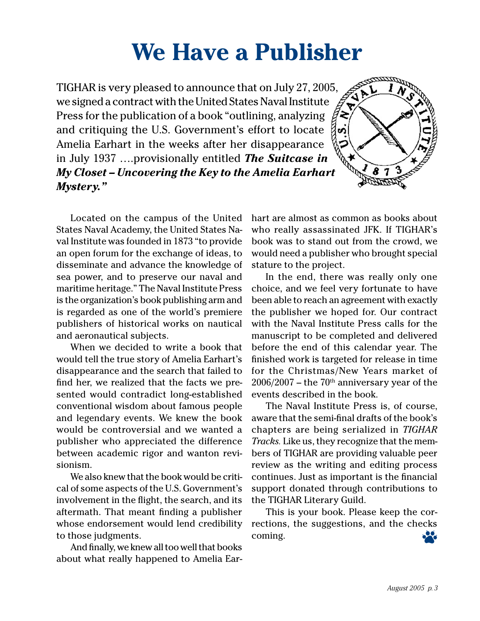# **We Have a Publisher**

TIGHAR is very pleased to announce that on July 27, 2005, we signed a contract with the United States Naval Institute Press for the publication of a book "outlining, analyzing and critiquing the U.S. Government's effort to locate Amelia Earhart in the weeks after her disappearance in July 1937 ….provisionally entitled *The Suitcase in My Closet – Uncovering the Key to the Amelia Earhart Mystery."*

Located on the campus of the United States Naval Academy, the United States Naval Institute was founded in 1873 "to provide an open forum for the exchange of ideas, to disseminate and advance the knowledge of sea power, and to preserve our naval and maritime heritage." The Naval Institute Press is the organization's book publishing arm and is regarded as one of the world's premiere publishers of historical works on nautical and aeronautical subjects.

When we decided to write a book that would tell the true story of Amelia Earhart's disappearance and the search that failed to find her, we realized that the facts we presented would contradict long-established conventional wisdom about famous people and legendary events. We knew the book would be controversial and we wanted a publisher who appreciated the difference between academic rigor and wanton revisionism.

We also knew that the book would be critical of some aspects of the U.S. Government's involvement in the flight, the search, and its aftermath. That meant finding a publisher whose endorsement would lend credibility to those judgments.

And finally, we knew all too well that books about what really happened to Amelia Earhart are almost as common as books about who really assassinated JFK. If TIGHAR's book was to stand out from the crowd, we would need a publisher who brought special stature to the project.

In the end, there was really only one choice, and we feel very fortunate to have been able to reach an agreement with exactly the publisher we hoped for. Our contract with the Naval Institute Press calls for the manuscript to be completed and delivered before the end of this calendar year. The finished work is targeted for release in time for the Christmas/New Years market of  $2006/2007$  – the  $70<sup>th</sup>$  anniversary year of the events described in the book.

The Naval Institute Press is, of course, aware that the semi-final drafts of the book's chapters are being serialized in *TIGHAR Tracks.* Like us, they recognize that the members of TIGHAR are providing valuable peer review as the writing and editing process continues. Just as important is the financial support donated through contributions to the TIGHAR Literary Guild.

This is your book. Please keep the corrections, the suggestions, and the checks coming.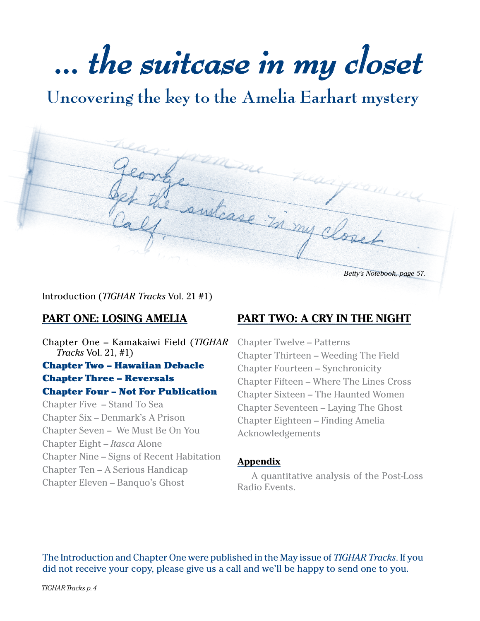# *... the suitcase in my closet*

**Uncovering the key to the Amelia Earhart mystery**

intease in my

*Betty's Notebook, page 57.*

Introduction (*TIGHAR Tracks* Vol. 21 #1)

### **PART ONE: LOSING AMELIA**

Chapter One – Kamakaiwi Field (*TIGHAR Tracks* Vol. 21, #1)

### Chapter Two – Hawaiian Debacle Chapter Three – Reversals Chapter Four – Not For Publication

Chapter Five – Stand To Sea Chapter Six – Denmark's A Prison Chapter Seven – We Must Be On You Chapter Eight – *Itasca* Alone Chapter Nine – Signs of Recent Habitation Chapter Ten – A Serious Handicap Chapter Eleven – Banquo's Ghost

### **PART TWO: A CRY IN THE NIGHT**

Chapter Twelve – Patterns Chapter Thirteen – Weeding The Field Chapter Fourteen – Synchronicity Chapter Fifteen – Where The Lines Cross Chapter Sixteen – The Haunted Women Chapter Seventeen – Laying The Ghost Chapter Eighteen – Finding Amelia Acknowledgements

#### **Appendix**

A quantitative analysis of the Post-Loss Radio Events.

The Introduction and Chapter One were published in the May issue of *TIGHAR Tracks*. If you did not receive your copy, please give us a call and we'll be happy to send one to you.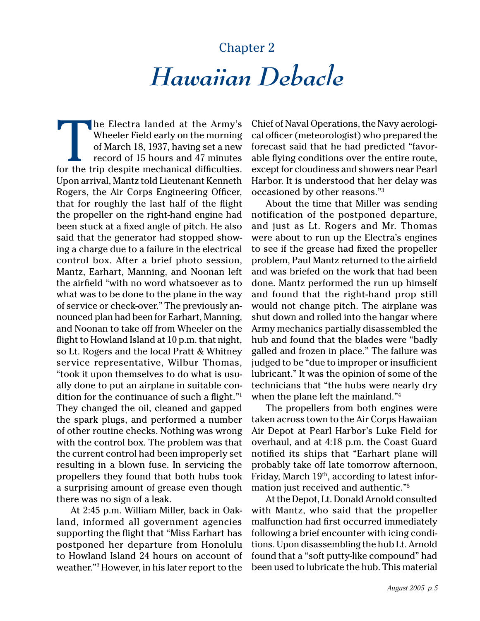### Chapter 2

# *Hawaiian Debacle*

The Electra landed at the Army's<br>
Wheeler Field early on the morning<br>
of March 18, 1937, having set a new<br>
record of 15 hours and 47 minutes<br>
for the trip despite mechanical difficulties. Wheeler Field early on the morning of March 18, 1937, having set a new record of 15 hours and 47 minutes Upon arrival, Mantz told Lieutenant Kenneth Rogers, the Air Corps Engineering Officer, that for roughly the last half of the flight the propeller on the right-hand engine had been stuck at a fixed angle of pitch. He also said that the generator had stopped showing a charge due to a failure in the electrical control box. After a brief photo session, Mantz, Earhart, Manning, and Noonan left the airfield "with no word whatsoever as to what was to be done to the plane in the way of service or check-over." The previously announced plan had been for Earhart, Manning, and Noonan to take off from Wheeler on the flight to Howland Island at 10 p.m. that night, so Lt. Rogers and the local Pratt & Whitney service representative, Wilbur Thomas, "took it upon themselves to do what is usually done to put an airplane in suitable condition for the continuance of such a flight."1 They changed the oil, cleaned and gapped the spark plugs, and performed a number of other routine checks. Nothing was wrong with the control box. The problem was that the current control had been improperly set resulting in a blown fuse. In servicing the propellers they found that both hubs took a surprising amount of grease even though there was no sign of a leak.

At 2:45 p.m. William Miller, back in Oakland, informed all government agencies supporting the flight that "Miss Earhart has postponed her departure from Honolulu to Howland Island 24 hours on account of weather."2 However, in his later report to the Chief of Naval Operations, the Navy aerological officer (meteorologist) who prepared the forecast said that he had predicted "favorable flying conditions over the entire route, except for cloudiness and showers near Pearl Harbor. It is understood that her delay was occasioned by other reasons."3

About the time that Miller was sending notification of the postponed departure, and just as Lt. Rogers and Mr. Thomas were about to run up the Electra's engines to see if the grease had fixed the propeller problem, Paul Mantz returned to the airfield and was briefed on the work that had been done. Mantz performed the run up himself and found that the right-hand prop still would not change pitch. The airplane was shut down and rolled into the hangar where Army mechanics partially disassembled the hub and found that the blades were "badly galled and frozen in place." The failure was judged to be "due to improper or insufficient lubricant." It was the opinion of some of the technicians that "the hubs were nearly dry when the plane left the mainland."4

The propellers from both engines were taken across town to the Air Corps Hawaiian Air Depot at Pearl Harbor's Luke Field for overhaul, and at 4:18 p.m. the Coast Guard notified its ships that "Earhart plane will probably take off late tomorrow afternoon, Friday, March 19<sup>th</sup>, according to latest information just received and authentic."5

At the Depot, Lt. Donald Arnold consulted with Mantz, who said that the propeller malfunction had first occurred immediately following a brief encounter with icing conditions. Upon disassembling the hub Lt. Arnold found that a "soft putty-like compound" had been used to lubricate the hub. This material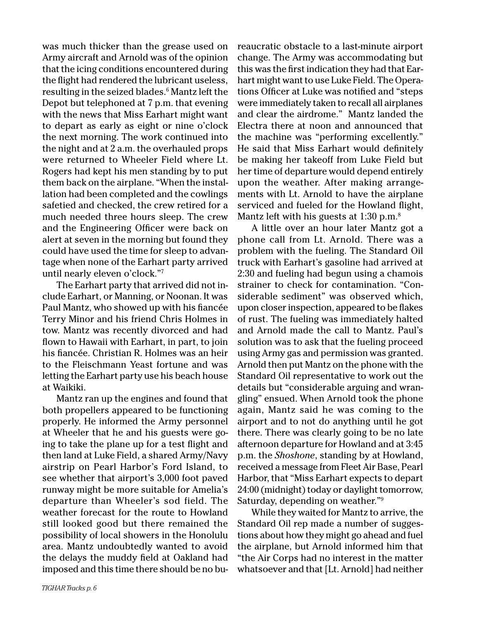was much thicker than the grease used on Army aircraft and Arnold was of the opinion that the icing conditions encountered during the flight had rendered the lubricant useless, resulting in the seized blades.<sup>6</sup> Mantz left the Depot but telephoned at 7 p.m. that evening with the news that Miss Earhart might want to depart as early as eight or nine o'clock the next morning. The work continued into the night and at 2 a.m. the overhauled props were returned to Wheeler Field where Lt. Rogers had kept his men standing by to put them back on the airplane. "When the installation had been completed and the cowlings safetied and checked, the crew retired for a much needed three hours sleep. The crew and the Engineering Officer were back on alert at seven in the morning but found they could have used the time for sleep to advantage when none of the Earhart party arrived until nearly eleven o'clock."7

The Earhart party that arrived did not include Earhart, or Manning, or Noonan. It was Paul Mantz, who showed up with his fiancée Terry Minor and his friend Chris Holmes in tow. Mantz was recently divorced and had flown to Hawaii with Earhart, in part, to join his fiancée. Christian R. Holmes was an heir to the Fleischmann Yeast fortune and was letting the Earhart party use his beach house at Waikiki.

Mantz ran up the engines and found that both propellers appeared to be functioning properly. He informed the Army personnel at Wheeler that he and his guests were going to take the plane up for a test flight and then land at Luke Field, a shared Army/Navy airstrip on Pearl Harbor's Ford Island, to see whether that airport's 3,000 foot paved runway might be more suitable for Amelia's departure than Wheeler's sod field. The weather forecast for the route to Howland still looked good but there remained the possibility of local showers in the Honolulu area. Mantz undoubtedly wanted to avoid the delays the muddy field at Oakland had imposed and this time there should be no bu-

reaucratic obstacle to a last-minute airport change. The Army was accommodating but this was the first indication they had that Earhart might want to use Luke Field. The Operations Officer at Luke was notified and "steps were immediately taken to recall all airplanes and clear the airdrome." Mantz landed the Electra there at noon and announced that the machine was "performing excellently." He said that Miss Earhart would definitely be making her takeoff from Luke Field but her time of departure would depend entirely upon the weather. After making arrangements with Lt. Arnold to have the airplane serviced and fueled for the Howland flight, Mantz left with his guests at 1:30 p.m.<sup>8</sup>

A little over an hour later Mantz got a phone call from Lt. Arnold. There was a problem with the fueling. The Standard Oil truck with Earhart's gasoline had arrived at 2:30 and fueling had begun using a chamois strainer to check for contamination. "Considerable sediment" was observed which, upon closer inspection, appeared to be flakes of rust. The fueling was immediately halted and Arnold made the call to Mantz. Paul's solution was to ask that the fueling proceed using Army gas and permission was granted. Arnold then put Mantz on the phone with the Standard Oil representative to work out the details but "considerable arguing and wrangling" ensued. When Arnold took the phone again, Mantz said he was coming to the airport and to not do anything until he got there. There was clearly going to be no late afternoon departure for Howland and at 3:45 p.m. the *Shoshone*, standing by at Howland, received a message from Fleet Air Base, Pearl Harbor, that "Miss Earhart expects to depart 24:00 (midnight) today or daylight tomorrow, Saturday, depending on weather."9

While they waited for Mantz to arrive, the Standard Oil rep made a number of suggestions about how they might go ahead and fuel the airplane, but Arnold informed him that "the Air Corps had no interest in the matter whatsoever and that [Lt. Arnold] had neither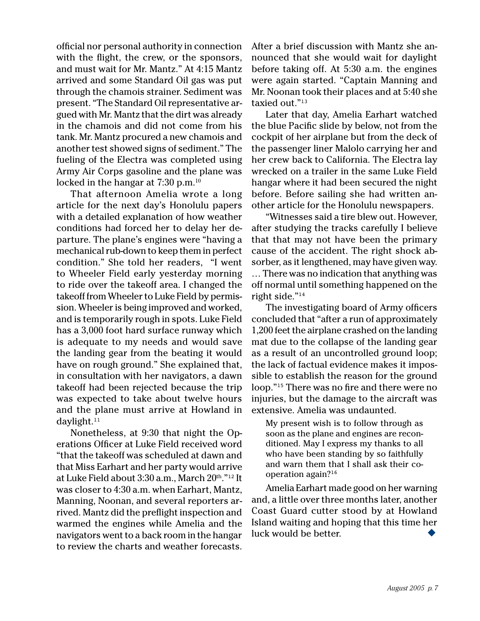official nor personal authority in connection with the flight, the crew, or the sponsors, and must wait for Mr. Mantz." At 4:15 Mantz arrived and some Standard Oil gas was put through the chamois strainer. Sediment was present. "The Standard Oil representative argued with Mr. Mantz that the dirt was already in the chamois and did not come from his tank. Mr. Mantz procured a new chamois and another test showed signs of sediment." The fueling of the Electra was completed using Army Air Corps gasoline and the plane was locked in the hangar at  $7:30$  p.m.<sup>10</sup>

That afternoon Amelia wrote a long article for the next day's Honolulu papers with a detailed explanation of how weather conditions had forced her to delay her departure. The plane's engines were "having a mechanical rub-down to keep them in perfect condition." She told her readers, "I went to Wheeler Field early yesterday morning to ride over the takeoff area. I changed the takeoff from Wheeler to Luke Field by permission. Wheeler is being improved and worked, and is temporarily rough in spots. Luke Field has a 3,000 foot hard surface runway which is adequate to my needs and would save the landing gear from the beating it would have on rough ground." She explained that, in consultation with her navigators, a dawn takeoff had been rejected because the trip was expected to take about twelve hours and the plane must arrive at Howland in daylight.<sup>11</sup>

Nonetheless, at 9:30 that night the Operations Officer at Luke Field received word "that the takeoff was scheduled at dawn and that Miss Earhart and her party would arrive at Luke Field about 3:30 a.m., March 20th."12 It was closer to 4:30 a.m. when Earhart, Mantz, Manning, Noonan, and several reporters arrived. Mantz did the preflight inspection and warmed the engines while Amelia and the navigators went to a back room in the hangar to review the charts and weather forecasts. After a brief discussion with Mantz she announced that she would wait for daylight before taking off. At 5:30 a.m. the engines were again started. "Captain Manning and Mr. Noonan took their places and at 5:40 she taxied out."<sup>13</sup>

Later that day, Amelia Earhart watched the blue Pacific slide by below, not from the cockpit of her airplane but from the deck of the passenger liner Malolo carrying her and her crew back to California. The Electra lay wrecked on a trailer in the same Luke Field hangar where it had been secured the night before. Before sailing she had written another article for the Honolulu newspapers.

"Witnesses said a tire blew out. However, after studying the tracks carefully I believe that that may not have been the primary cause of the accident. The right shock absorber, as it lengthened, may have given way. … There was no indication that anything was off normal until something happened on the right side."<sup>14</sup>

The investigating board of Army officers concluded that "after a run of approximately 1,200 feet the airplane crashed on the landing mat due to the collapse of the landing gear as a result of an uncontrolled ground loop; the lack of factual evidence makes it impossible to establish the reason for the ground loop."15 There was no fire and there were no injuries, but the damage to the aircraft was extensive. Amelia was undaunted.

My present wish is to follow through as soon as the plane and engines are reconditioned. May I express my thanks to all who have been standing by so faithfully and warn them that I shall ask their cooperation again?<sup>16</sup>

Amelia Earhart made good on her warning and, a little over three months later, another Coast Guard cutter stood by at Howland Island waiting and hoping that this time her luck would be better.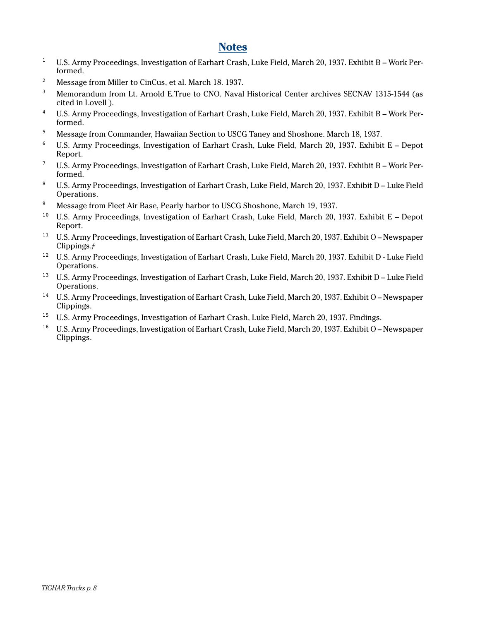### **Notes**

- <sup>1</sup> U.S. Army Proceedings, Investigation of Earhart Crash, Luke Field, March 20, 1937. Exhibit B Work Performed.
- <sup>2</sup> Message from Miller to CinCus, et al. March 18. 1937.
- <sup>3</sup> Memorandum from Lt. Arnold E.True to CNO. Naval Historical Center archives SECNAV 1315-1544 (as cited in Lovell ).
- 4 U.S. Army Proceedings, Investigation of Earhart Crash, Luke Field, March 20, 1937. Exhibit B Work Performed.
- <sup>5</sup> Message from Commander, Hawaiian Section to USCG Taney and Shoshone. March 18, 1937.
- <sup>6</sup> U.S. Army Proceedings, Investigation of Earhart Crash, Luke Field, March 20, 1937. Exhibit E Depot Report.
- 7 U.S. Army Proceedings, Investigation of Earhart Crash, Luke Field, March 20, 1937. Exhibit B Work Performed.
- <sup>8</sup> U.S. Army Proceedings, Investigation of Earhart Crash, Luke Field, March 20, 1937. Exhibit D Luke Field Operations.
- <sup>9</sup> Message from Fleet Air Base, Pearly harbor to USCG Shoshone, March 19, 1937.
- <sup>10</sup> U.S. Army Proceedings, Investigation of Earhart Crash, Luke Field, March 20, 1937. Exhibit E Depot Report.
- <sup>11</sup> U.S. Army Proceedings, Investigation of Earhart Crash, Luke Field, March 20, 1937. Exhibit O Newspaper Clippings./
- <sup>12</sup> U.S. Army Proceedings, Investigation of Earhart Crash, Luke Field, March 20, 1937. Exhibit D Luke Field Operations.
- <sup>13</sup> U.S. Army Proceedings, Investigation of Earhart Crash, Luke Field, March 20, 1937. Exhibit D Luke Field Operations.
- <sup>14</sup> U.S. Army Proceedings, Investigation of Earhart Crash, Luke Field, March 20, 1937. Exhibit O Newspaper Clippings.
- <sup>15</sup> U.S. Army Proceedings, Investigation of Earhart Crash, Luke Field, March 20, 1937. Findings.
- <sup>16</sup> U.S. Army Proceedings, Investigation of Earhart Crash, Luke Field, March 20, 1937. Exhibit O Newspaper Clippings.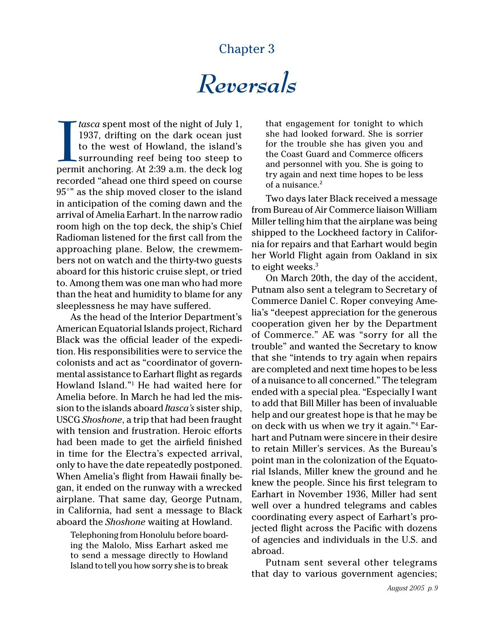# Chapter 3

# *Reversals*

**I** tasca spent most of the night of July 1, 1937, drifting on the dark ocean just to the west of Howland, the island's surrounding reef being too steep to permit anchoring. At 2:39 a.m. the deck log *tasca* spent most of the night of July 1, 1937, drifting on the dark ocean just to the west of Howland, the island's surrounding reef being too steep to recorded "ahead one third speed on course 95°" as the ship moved closer to the island in anticipation of the coming dawn and the arrival of Amelia Earhart. In the narrow radio room high on the top deck, the ship's Chief Radioman listened for the first call from the approaching plane. Below, the crewmembers not on watch and the thirty-two guests aboard for this historic cruise slept, or tried to. Among them was one man who had more than the heat and humidity to blame for any sleeplessness he may have suffered.

As the head of the Interior Department's American Equatorial Islands project, Richard Black was the official leader of the expedition. His responsibilities were to service the colonists and act as "coordinator of governmental assistance to Earhart flight as regards Howland Island."1 He had waited here for Amelia before. In March he had led the mission to the islands aboard *Itasca's* sister ship, USCG *Shoshone*, a trip that had been fraught with tension and frustration. Heroic efforts had been made to get the airfield finished in time for the Electra's expected arrival, only to have the date repeatedly postponed. When Amelia's flight from Hawaii finally began, it ended on the runway with a wrecked airplane. That same day, George Putnam, in California, had sent a message to Black aboard the *Shoshone* waiting at Howland.

Telephoning from Honolulu before boarding the Malolo, Miss Earhart asked me to send a message directly to Howland Island to tell you how sorry she is to break that engagement for tonight to which she had looked forward. She is sorrier for the trouble she has given you and the Coast Guard and Commerce officers and personnel with you. She is going to try again and next time hopes to be less of a nuisance.<sup>2</sup>

Two days later Black received a message from Bureau of Air Commerce liaison William Miller telling him that the airplane was being shipped to the Lockheed factory in California for repairs and that Earhart would begin her World Flight again from Oakland in six to eight weeks.<sup>3</sup>

On March 20th, the day of the accident, Putnam also sent a telegram to Secretary of Commerce Daniel C. Roper conveying Amelia's "deepest appreciation for the generous cooperation given her by the Department of Commerce." AE was "sorry for all the trouble" and wanted the Secretary to know that she "intends to try again when repairs are completed and next time hopes to be less of a nuisance to all concerned." The telegram ended with a special plea. "Especially I want to add that Bill Miller has been of invaluable help and our greatest hope is that he may be on deck with us when we try it again."4 Earhart and Putnam were sincere in their desire to retain Miller's services. As the Bureau's point man in the colonization of the Equatorial Islands, Miller knew the ground and he knew the people. Since his first telegram to Earhart in November 1936, Miller had sent well over a hundred telegrams and cables coordinating every aspect of Earhart's projected flight across the Pacific with dozens of agencies and individuals in the U.S. and abroad.

Putnam sent several other telegrams that day to various government agencies;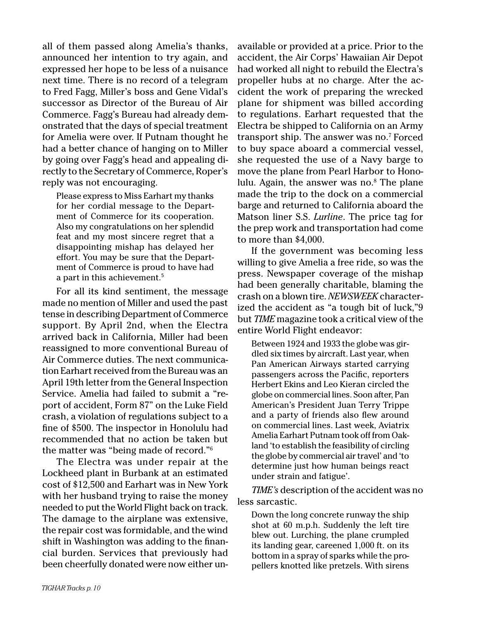all of them passed along Amelia's thanks, announced her intention to try again, and expressed her hope to be less of a nuisance next time. There is no record of a telegram to Fred Fagg, Miller's boss and Gene Vidal's successor as Director of the Bureau of Air Commerce. Fagg's Bureau had already demonstrated that the days of special treatment for Amelia were over. If Putnam thought he had a better chance of hanging on to Miller by going over Fagg's head and appealing directly to the Secretary of Commerce, Roper's reply was not encouraging.

Please express to Miss Earhart my thanks for her cordial message to the Department of Commerce for its cooperation. Also my congratulations on her splendid feat and my most sincere regret that a disappointing mishap has delayed her effort. You may be sure that the Department of Commerce is proud to have had a part in this achievement.<sup>5</sup>

For all its kind sentiment, the message made no mention of Miller and used the past tense in describing Department of Commerce support. By April 2nd, when the Electra arrived back in California, Miller had been reassigned to more conventional Bureau of Air Commerce duties. The next communication Earhart received from the Bureau was an April 19th letter from the General Inspection Service. Amelia had failed to submit a "report of accident, Form 87" on the Luke Field crash, a violation of regulations subject to a fine of \$500. The inspector in Honolulu had recommended that no action be taken but the matter was "being made of record."6

The Electra was under repair at the Lockheed plant in Burbank at an estimated cost of \$12,500 and Earhart was in New York with her husband trying to raise the money needed to put the World Flight back on track. The damage to the airplane was extensive, the repair cost was formidable, and the wind shift in Washington was adding to the financial burden. Services that previously had been cheerfully donated were now either un-

available or provided at a price. Prior to the accident, the Air Corps' Hawaiian Air Depot had worked all night to rebuild the Electra's propeller hubs at no charge. After the accident the work of preparing the wrecked plane for shipment was billed according to regulations. Earhart requested that the Electra be shipped to California on an Army transport ship. The answer was no.7 Forced to buy space aboard a commercial vessel, she requested the use of a Navy barge to move the plane from Pearl Harbor to Honolulu. Again, the answer was no.<sup>8</sup> The plane made the trip to the dock on a commercial barge and returned to California aboard the Matson liner S.S. *Lurline*. The price tag for the prep work and transportation had come to more than \$4,000.

If the government was becoming less willing to give Amelia a free ride, so was the press. Newspaper coverage of the mishap had been generally charitable, blaming the crash on a blown tire. *NEWSWEEK* characterized the accident as "a tough bit of luck,"9 but *TIME* magazine took a critical view of the entire World Flight endeavor:

Between 1924 and 1933 the globe was girdled six times by aircraft. Last year, when Pan American Airways started carrying passengers across the Pacific, reporters Herbert Ekins and Leo Kieran circled the globe on commercial lines. Soon after, Pan American's President Juan Terry Trippe and a party of friends also flew around on commercial lines. Last week, Aviatrix Amelia Earhart Putnam took off from Oakland 'to establish the feasibility of circling the globe by commercial air travel' and 'to determine just how human beings react under strain and fatigue'.

*TIME's* description of the accident was no less sarcastic.

Down the long concrete runway the ship shot at 60 m.p.h. Suddenly the left tire blew out. Lurching, the plane crumpled its landing gear, careened 1,000 ft. on its bottom in a spray of sparks while the propellers knotted like pretzels. With sirens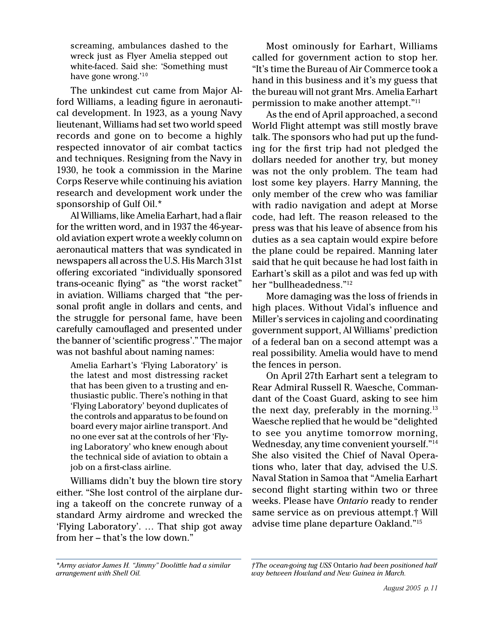screaming, ambulances dashed to the wreck just as Flyer Amelia stepped out white-faced. Said she: 'Something must have gone wrong.'<sup>10</sup>

The unkindest cut came from Major Alford Williams, a leading figure in aeronautical development. In 1923, as a young Navy lieutenant, Williams had set two world speed records and gone on to become a highly respected innovator of air combat tactics and techniques. Resigning from the Navy in 1930, he took a commission in the Marine Corps Reserve while continuing his aviation research and development work under the sponsorship of Gulf Oil.\*

Al Williams, like Amelia Earhart, had a flair for the written word, and in 1937 the 46-yearold aviation expert wrote a weekly column on aeronautical matters that was syndicated in newspapers all across the U.S. His March 31st offering excoriated "individually sponsored trans-oceanic flying" as "the worst racket" in aviation. Williams charged that "the personal profit angle in dollars and cents, and the struggle for personal fame, have been carefully camouflaged and presented under the banner of 'scientific progress'." The major was not bashful about naming names:

Amelia Earhart's 'Flying Laboratory' is the latest and most distressing racket that has been given to a trusting and enthusiastic public. There's nothing in that 'Flying Laboratory' beyond duplicates of the controls and apparatus to be found on board every major airline transport. And no one ever sat at the controls of her 'Flying Laboratory' who knew enough about the technical side of aviation to obtain a job on a first-class airline.

Williams didn't buy the blown tire story either. "She lost control of the airplane during a takeoff on the concrete runway of a standard Army airdrome and wrecked the 'Flying Laboratory'. … That ship got away from her – that's the low down."

Most ominously for Earhart, Williams called for government action to stop her. "It's time the Bureau of Air Commerce took a hand in this business and it's my guess that the bureau will not grant Mrs. Amelia Earhart permission to make another attempt."11

As the end of April approached, a second World Flight attempt was still mostly brave talk. The sponsors who had put up the funding for the first trip had not pledged the dollars needed for another try, but money was not the only problem. The team had lost some key players. Harry Manning, the only member of the crew who was familiar with radio navigation and adept at Morse code, had left. The reason released to the press was that his leave of absence from his duties as a sea captain would expire before the plane could be repaired. Manning later said that he quit because he had lost faith in Earhart's skill as a pilot and was fed up with her "bullheadedness."12

More damaging was the loss of friends in high places. Without Vidal's influence and Miller's services in cajoling and coordinating government support, Al Williams' prediction of a federal ban on a second attempt was a real possibility. Amelia would have to mend the fences in person.

On April 27th Earhart sent a telegram to Rear Admiral Russell R. Waesche, Commandant of the Coast Guard, asking to see him the next day, preferably in the morning.13 Waesche replied that he would be "delighted to see you anytime tomorrow morning, Wednesday, any time convenient yourself."14 She also visited the Chief of Naval Operations who, later that day, advised the U.S. Naval Station in Samoa that "Amelia Earhart second flight starting within two or three weeks. Please have *Ontario* ready to render same service as on previous attempt.† Will advise time plane departure Oakland."15

*†The ocean-going tug USS* Ontario *had been positioned half way between Howland and New Guinea in March.*

*<sup>\*</sup>Army aviator James H. "Jimmy" Doolittle had a similar arrangement with Shell Oil.*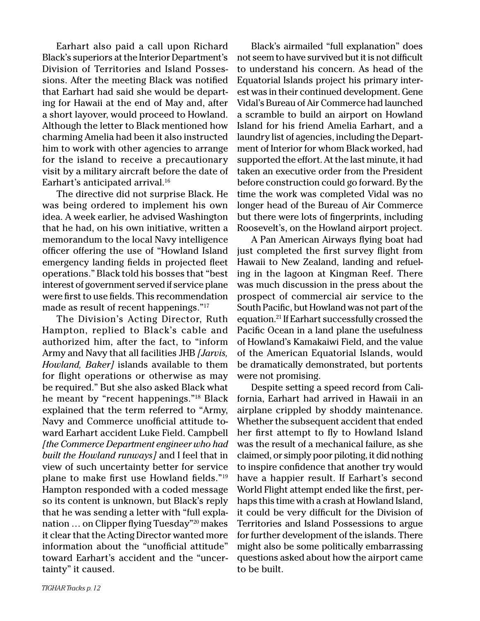Earhart also paid a call upon Richard Black's superiors at the Interior Department's Division of Territories and Island Possessions. After the meeting Black was notified that Earhart had said she would be departing for Hawaii at the end of May and, after a short layover, would proceed to Howland. Although the letter to Black mentioned how charming Amelia had been it also instructed him to work with other agencies to arrange for the island to receive a precautionary visit by a military aircraft before the date of Earhart's anticipated arrival.<sup>16</sup>

The directive did not surprise Black. He was being ordered to implement his own idea. A week earlier, he advised Washington that he had, on his own initiative, written a memorandum to the local Navy intelligence officer offering the use of "Howland Island emergency landing fields in projected fleet operations." Black told his bosses that "best interest of government served if service plane were first to use fields. This recommendation made as result of recent happenings."17

The Division's Acting Director, Ruth Hampton, replied to Black's cable and authorized him, after the fact, to "inform Army and Navy that all facilities JHB *[Jarvis, Howland, Baker]* islands available to them for flight operations or otherwise as may be required." But she also asked Black what he meant by "recent happenings."18 Black explained that the term referred to "Army, Navy and Commerce unofficial attitude toward Earhart accident Luke Field. Campbell *[the Commerce Department engineer who had built the Howland runways]* and I feel that in view of such uncertainty better for service plane to make first use Howland fields."19 Hampton responded with a coded message so its content is unknown, but Black's reply that he was sending a letter with "full explanation … on Clipper flying Tuesday"20 makes it clear that the Acting Director wanted more information about the "unofficial attitude" toward Earhart's accident and the "uncertainty" it caused.

Black's airmailed "full explanation" does not seem to have survived but it is not difficult to understand his concern. As head of the Equatorial Islands project his primary interest was in their continued development. Gene Vidal's Bureau of Air Commerce had launched a scramble to build an airport on Howland Island for his friend Amelia Earhart, and a laundry list of agencies, including the Department of Interior for whom Black worked, had supported the effort. At the last minute, it had taken an executive order from the President before construction could go forward. By the time the work was completed Vidal was no longer head of the Bureau of Air Commerce but there were lots of fingerprints, including Roosevelt's, on the Howland airport project.

A Pan American Airways flying boat had just completed the first survey flight from Hawaii to New Zealand, landing and refueling in the lagoon at Kingman Reef. There was much discussion in the press about the prospect of commercial air service to the South Pacific, but Howland was not part of the equation.21 If Earhart successfully crossed the Pacific Ocean in a land plane the usefulness of Howland's Kamakaiwi Field, and the value of the American Equatorial Islands, would be dramatically demonstrated, but portents were not promising.

Despite setting a speed record from California, Earhart had arrived in Hawaii in an airplane crippled by shoddy maintenance. Whether the subsequent accident that ended her first attempt to fly to Howland Island was the result of a mechanical failure, as she claimed, or simply poor piloting, it did nothing to inspire confidence that another try would have a happier result. If Earhart's second World Flight attempt ended like the first, perhaps this time with a crash at Howland Island, it could be very difficult for the Division of Territories and Island Possessions to argue for further development of the islands. There might also be some politically embarrassing questions asked about how the airport came to be built.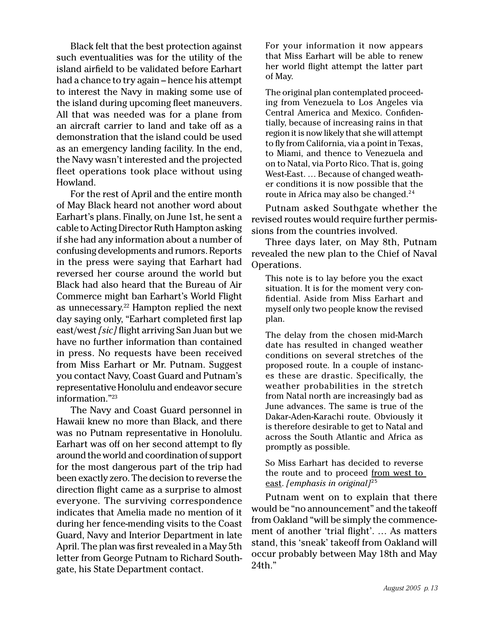Black felt that the best protection against such eventualities was for the utility of the island airfield to be validated before Earhart had a chance to try again – hence his attempt to interest the Navy in making some use of the island during upcoming fleet maneuvers. All that was needed was for a plane from an aircraft carrier to land and take off as a demonstration that the island could be used as an emergency landing facility. In the end, the Navy wasn't interested and the projected fleet operations took place without using Howland.

For the rest of April and the entire month of May Black heard not another word about Earhart's plans. Finally, on June 1st, he sent a cable to Acting Director Ruth Hampton asking if she had any information about a number of confusing developments and rumors. Reports in the press were saying that Earhart had reversed her course around the world but Black had also heard that the Bureau of Air Commerce might ban Earhart's World Flight as unnecessary.22 Hampton replied the next day saying only, "Earhart completed first lap east/west *[sic]* flight arriving San Juan but we have no further information than contained in press. No requests have been received from Miss Earhart or Mr. Putnam. Suggest you contact Navy, Coast Guard and Putnam's representative Honolulu and endeavor secure information."23

The Navy and Coast Guard personnel in Hawaii knew no more than Black, and there was no Putnam representative in Honolulu. Earhart was off on her second attempt to fly around the world and coordination of support for the most dangerous part of the trip had been exactly zero. The decision to reverse the direction flight came as a surprise to almost everyone. The surviving correspondence indicates that Amelia made no mention of it during her fence-mending visits to the Coast Guard, Navy and Interior Department in late April. The plan was first revealed in a May 5th letter from George Putnam to Richard Southgate, his State Department contact.

For your information it now appears that Miss Earhart will be able to renew her world flight attempt the latter part of May.

The original plan contemplated proceeding from Venezuela to Los Angeles via Central America and Mexico. Confidentially, because of increasing rains in that region it is now likely that she will attempt to fly from California, via a point in Texas, to Miami, and thence to Venezuela and on to Natal, via Porto Rico. That is, going West-East. … Because of changed weather conditions it is now possible that the route in Africa may also be changed.<sup>24</sup>

Putnam asked Southgate whether the revised routes would require further permissions from the countries involved.

Three days later, on May 8th, Putnam revealed the new plan to the Chief of Naval Operations.

This note is to lay before you the exact situation. It is for the moment very confidential. Aside from Miss Earhart and myself only two people know the revised plan.

The delay from the chosen mid-March date has resulted in changed weather conditions on several stretches of the proposed route. In a couple of instances these are drastic. Specifically, the weather probabilities in the stretch from Natal north are increasingly bad as June advances. The same is true of the Dakar-Aden-Karachi route. Obviously it is therefore desirable to get to Natal and across the South Atlantic and Africa as promptly as possible.

So Miss Earhart has decided to reverse the route and to proceed from west to east. *[emphasis in original]*<sup>25</sup>

Putnam went on to explain that there would be "no announcement" and the takeoff from Oakland "will be simply the commencement of another 'trial flight'. … As matters stand, this 'sneak' takeoff from Oakland will occur probably between May 18th and May 24th."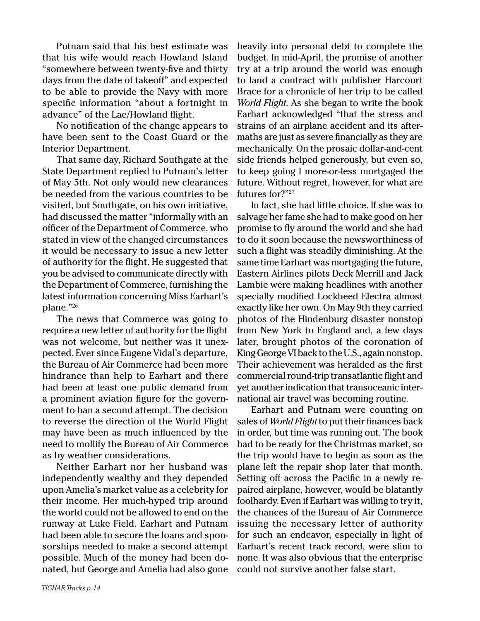Putnam said that his best estimate was that his wife would reach Howland Island "somewhere between twenty-five and thirty days from the date of takeoff" and expected to be able to provide the Navy with more specific information "about a fortnight in advance" of the Lae/Howland flight.

No notification of the change appears to have been sent to the Coast Guard or the Interior Department.

That same day, Richard Southgate at the State Department replied to Putnam's letter of May 5th. Not only would new clearances be needed from the various countries to be visited, but Southgate, on his own initiative, had discussed the matter "informally with an officer of the Department of Commerce, who stated in view of the changed circumstances it would be necessary to issue a new letter of authority for the flight. He suggested that you be advised to communicate directly with the Department of Commerce, furnishing the latest information concerning Miss Earhart's plane."26

The news that Commerce was going to require a new letter of authority for the flight was not welcome, but neither was it unexpected. Ever since Eugene Vidal's departure, the Bureau of Air Commerce had been more hindrance than help to Earhart and there had been at least one public demand from a prominent aviation figure for the government to ban a second attempt. The decision to reverse the direction of the World Flight may have been as much influenced by the need to mollify the Bureau of Air Commerce as by weather considerations.

Neither Earhart nor her husband was independently wealthy and they depended upon Amelia's market value as a celebrity for their income. Her much-hyped trip around the world could not be allowed to end on the runway at Luke Field. Earhart and Putnam had been able to secure the loans and sponsorships needed to make a second attempt possible. Much of the money had been donated, but George and Amelia had also gone heavily into personal debt to complete the budget. In mid-April, the promise of another try at a trip around the world was enough to land a contract with publisher Harcourt Brace for a chronicle of her trip to be called *World Flight*. As she began to write the book Earhart acknowledged "that the stress and strains of an airplane accident and its aftermaths are just as severe financially as they are mechanically. On the prosaic dollar-and-cent side friends helped generously, but even so, to keep going I more-or-less mortgaged the future. Without regret, however, for what are futures for?"27

In fact, she had little choice. If she was to salvage her fame she had to make good on her promise to fly around the world and she had to do it soon because the newsworthiness of such a flight was steadily diminishing. At the same time Earhart was mortgaging the future, Eastern Airlines pilots Deck Merrill and Jack Lambie were making headlines with another specially modified Lockheed Electra almost exactly like her own. On May 9th they carried photos of the Hindenburg disaster nonstop from New York to England and, a few days later, brought photos of the coronation of King George VI back to the U.S., again nonstop. Their achievement was heralded as the first commercial round-trip transatlantic flight and yet another indication that transoceanic international air travel was becoming routine.

Earhart and Putnam were counting on sales of *World Flight* to put their finances back in order, but time was running out. The book had to be ready for the Christmas market, so the trip would have to begin as soon as the plane left the repair shop later that month. Setting off across the Pacific in a newly repaired airplane, however, would be blatantly foolhardy. Even if Earhart was willing to try it, the chances of the Bureau of Air Commerce issuing the necessary letter of authority for such an endeavor, especially in light of Earhart's recent track record, were slim to none. It was also obvious that the enterprise could not survive another false start.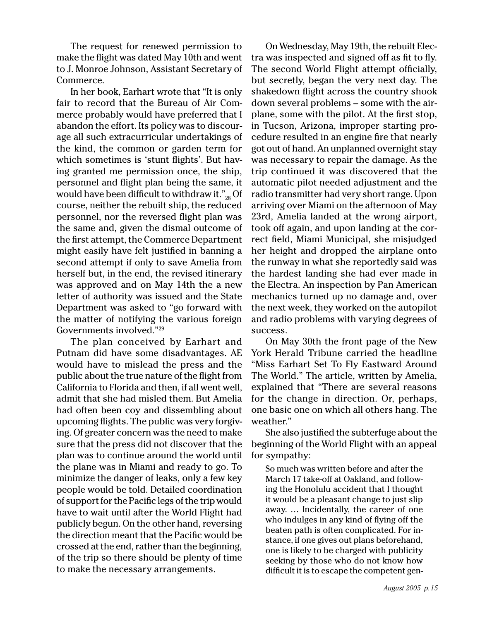The request for renewed permission to make the flight was dated May 10th and went to J. Monroe Johnson, Assistant Secretary of Commerce.

In her book, Earhart wrote that "It is only fair to record that the Bureau of Air Commerce probably would have preferred that I abandon the effort. Its policy was to discourage all such extracurricular undertakings of the kind, the common or garden term for which sometimes is 'stunt flights'. But having granted me permission once, the ship, personnel and flight plan being the same, it would have been difficult to withdraw it." $_{28}$  Of course, neither the rebuilt ship, the reduced personnel, nor the reversed flight plan was the same and, given the dismal outcome of the first attempt, the Commerce Department might easily have felt justified in banning a second attempt if only to save Amelia from herself but, in the end, the revised itinerary was approved and on May 14th the a new letter of authority was issued and the State Department was asked to "go forward with the matter of notifying the various foreign Governments involved."29

The plan conceived by Earhart and Putnam did have some disadvantages. AE would have to mislead the press and the public about the true nature of the flight from California to Florida and then, if all went well, admit that she had misled them. But Amelia had often been coy and dissembling about upcoming flights. The public was very forgiving. Of greater concern was the need to make sure that the press did not discover that the plan was to continue around the world until the plane was in Miami and ready to go. To minimize the danger of leaks, only a few key people would be told. Detailed coordination of support for the Pacific legs of the trip would have to wait until after the World Flight had publicly begun. On the other hand, reversing the direction meant that the Pacific would be crossed at the end, rather than the beginning, of the trip so there should be plenty of time to make the necessary arrangements.

On Wednesday, May 19th, the rebuilt Electra was inspected and signed off as fit to fly. The second World Flight attempt officially, but secretly, began the very next day. The shakedown flight across the country shook down several problems – some with the airplane, some with the pilot. At the first stop, in Tucson, Arizona, improper starting procedure resulted in an engine fire that nearly got out of hand. An unplanned overnight stay was necessary to repair the damage. As the trip continued it was discovered that the automatic pilot needed adjustment and the radio transmitter had very short range. Upon arriving over Miami on the afternoon of May 23rd, Amelia landed at the wrong airport, took off again, and upon landing at the correct field, Miami Municipal, she misjudged her height and dropped the airplane onto the runway in what she reportedly said was the hardest landing she had ever made in the Electra. An inspection by Pan American mechanics turned up no damage and, over the next week, they worked on the autopilot and radio problems with varying degrees of success.

On May 30th the front page of the New York Herald Tribune carried the headline "Miss Earhart Set To Fly Eastward Around The World." The article, written by Amelia, explained that "There are several reasons for the change in direction. Or, perhaps, one basic one on which all others hang. The weather."

She also justified the subterfuge about the beginning of the World Flight with an appeal for sympathy:

So much was written before and after the March 17 take-off at Oakland, and following the Honolulu accident that I thought it would be a pleasant change to just slip away. … Incidentally, the career of one who indulges in any kind of flying off the beaten path is often complicated. For instance, if one gives out plans beforehand, one is likely to be charged with publicity seeking by those who do not know how difficult it is to escape the competent gen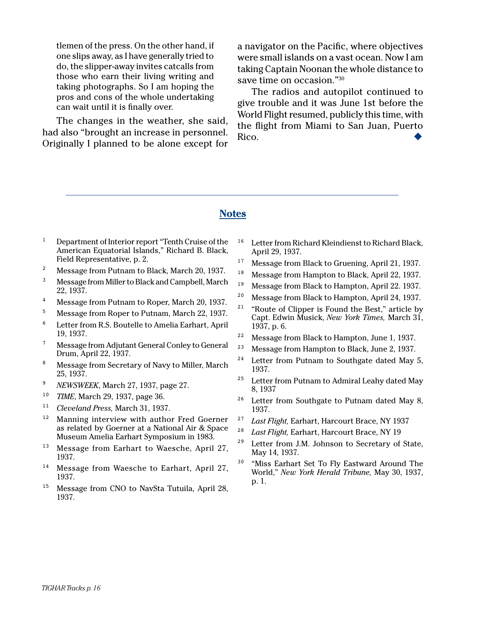tlemen of the press. On the other hand, if one slips away, as I have generally tried to do, the slipper-away invites catcalls from those who earn their living writing and taking photographs. So I am hoping the pros and cons of the whole undertaking can wait until it is finally over.

The changes in the weather, she said, had also "brought an increase in personnel. Originally I planned to be alone except for

a navigator on the Pacific, where objectives were small islands on a vast ocean. Now I am taking Captain Noonan the whole distance to save time on occasion."30

 $\ddot{\bullet}$ The radios and autopilot continued to give trouble and it was June 1st before the World Flight resumed, publicly this time, with the flight from Miami to San Juan, Puerto Rico.

#### **Notes**

- <sup>1</sup> Department of Interior report "Tenth Cruise of the American Equatorial Islands," Richard B. Black, Field Representative, p. 2.
- <sup>2</sup> Message from Putnam to Black, March 20, 1937.
- <sup>3</sup> Message from Miller to Black and Campbell, March 22, 1937.
- <sup>4</sup> Message from Putnam to Roper, March 20, 1937.
- <sup>5</sup> Message from Roper to Putnam, March 22, 1937.
- <sup>6</sup> Letter from R.S. Boutelle to Amelia Earhart, April 19, 1937.
- <sup>7</sup> Message from Adjutant General Conley to General Drum, April 22, 1937.
- <sup>8</sup> Message from Secretary of Navy to Miller, March 25, 1937.
- <sup>9</sup> *NEWSWEEK*, March 27, 1937, page 27.
- <sup>10</sup> *TIME*, March 29, 1937, page 36.
- <sup>11</sup> *Cleveland Press,* March 31, 1937.
- <sup>12</sup> Manning interview with author Fred Goerner as related by Goerner at a National Air & Space Museum Amelia Earhart Symposium in 1983.
- <sup>13</sup> Message from Earhart to Waesche, April 27, 1937.
- <sup>14</sup> Message from Waesche to Earhart, April 27, 1937.
- <sup>15</sup> Message from CNO to NavSta Tutuila, April 28, 1937.
- <sup>16</sup> Letter from Richard Kleindienst to Richard Black, April 29, 1937.
- <sup>17</sup> Message from Black to Gruening, April 21, 1937.
- <sup>18</sup> Message from Hampton to Black, April 22, 1937.
- <sup>19</sup> Message from Black to Hampton, April 22. 1937.
- <sup>20</sup> Message from Black to Hampton, April 24, 1937.
- $21$  "Route of Clipper is Found the Best," article by Capt. Edwin Musick, *New York Times,* March 31, 1937, p. 6.
- <sup>22</sup> Message from Black to Hampton, June 1, 1937.
- <sup>23</sup> Message from Hampton to Black, June 2, 1937.
- $24$  Letter from Putnam to Southgate dated May 5, 1937.
- <sup>25</sup> Letter from Putnam to Admiral Leahy dated May 8, 1937
- <sup>26</sup> Letter from Southgate to Putnam dated May 8, 1937.
- <sup>27</sup> *Last Flight,* Earhart, Harcourt Brace, NY 1937
- <sup>28</sup> *Last Flight,* Earhart, Harcourt Brace, NY 19
- <sup>29</sup> Letter from J.M. Johnson to Secretary of State, May 14, 1937.
- "Miss Earhart Set To Fly Eastward Around The World," *New York Herald Tribune,* May 30, 1937, p. 1.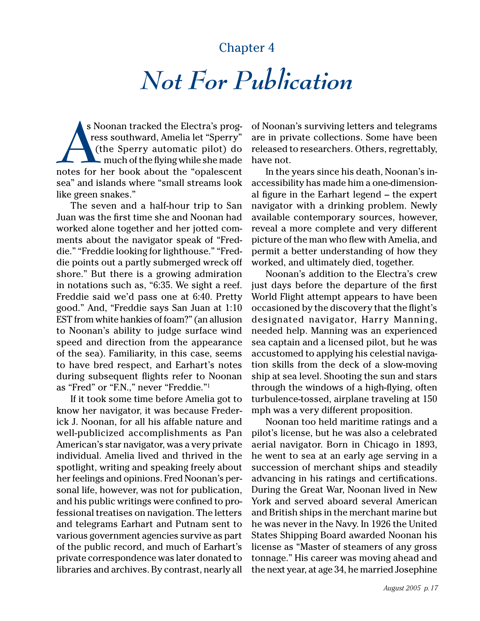# Chapter 4

# *Not For Publication*

s Noonan tracked the Electra's progress southward, Amelia let "Sperry" (the Sperry automatic pilot) do  $\mathbf{-}$  much of the flying while she made notes for her book about the "opalescent sea" and islands where "small streams look like green snakes."

The seven and a half-hour trip to San Juan was the first time she and Noonan had worked alone together and her jotted comments about the navigator speak of "Freddie." "Freddie looking for lighthouse." "Freddie points out a partly submerged wreck off shore." But there is a growing admiration in notations such as, "6:35. We sight a reef. Freddie said we'd pass one at 6:40. Pretty good." And, "Freddie says San Juan at 1:10 EST from white hankies of foam?" (an allusion to Noonan's ability to judge surface wind speed and direction from the appearance of the sea). Familiarity, in this case, seems to have bred respect, and Earhart's notes during subsequent flights refer to Noonan as "Fred" or "F.N.," never "Freddie."1

If it took some time before Amelia got to know her navigator, it was because Frederick J. Noonan, for all his affable nature and well-publicized accomplishments as Pan American's star navigator, was a very private individual. Amelia lived and thrived in the spotlight, writing and speaking freely about her feelings and opinions. Fred Noonan's personal life, however, was not for publication, and his public writings were confined to professional treatises on navigation. The letters and telegrams Earhart and Putnam sent to various government agencies survive as part of the public record, and much of Earhart's private correspondence was later donated to libraries and archives. By contrast, nearly all of Noonan's surviving letters and telegrams are in private collections. Some have been released to researchers. Others, regrettably, have not.

In the years since his death, Noonan's inaccessibility has made him a one-dimensional figure in the Earhart legend – the expert navigator with a drinking problem. Newly available contemporary sources, however, reveal a more complete and very different picture of the man who flew with Amelia, and permit a better understanding of how they worked, and ultimately died, together.

Noonan's addition to the Electra's crew just days before the departure of the first World Flight attempt appears to have been occasioned by the discovery that the flight's designated navigator, Harry Manning, needed help. Manning was an experienced sea captain and a licensed pilot, but he was accustomed to applying his celestial navigation skills from the deck of a slow-moving ship at sea level. Shooting the sun and stars through the windows of a high-flying, often turbulence-tossed, airplane traveling at 150 mph was a very different proposition.

Noonan too held maritime ratings and a pilot's license, but he was also a celebrated aerial navigator. Born in Chicago in 1893, he went to sea at an early age serving in a succession of merchant ships and steadily advancing in his ratings and certifications. During the Great War, Noonan lived in New York and served aboard several American and British ships in the merchant marine but he was never in the Navy. In 1926 the United States Shipping Board awarded Noonan his license as "Master of steamers of any gross tonnage." His career was moving ahead and the next year, at age 34, he married Josephine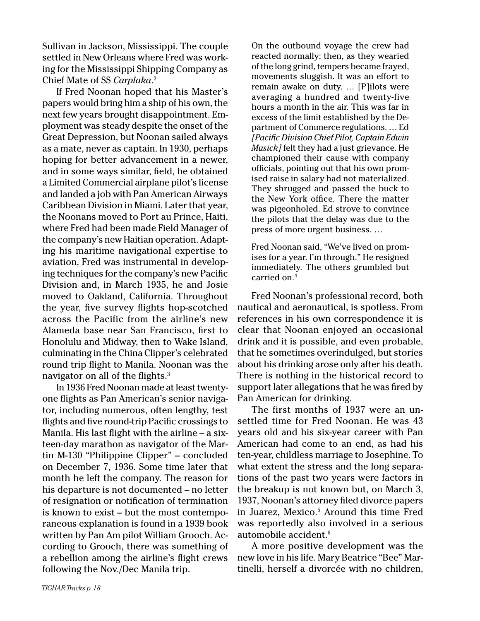Sullivan in Jackson, Mississippi. The couple settled in New Orleans where Fred was working for the Mississippi Shipping Company as Chief Mate of SS *Carplaka*. 2

If Fred Noonan hoped that his Master's papers would bring him a ship of his own, the next few years brought disappointment. Employment was steady despite the onset of the Great Depression, but Noonan sailed always as a mate, never as captain. In 1930, perhaps hoping for better advancement in a newer, and in some ways similar, field, he obtained a Limited Commercial airplane pilot's license and landed a job with Pan American Airways Caribbean Division in Miami. Later that year, the Noonans moved to Port au Prince, Haiti, where Fred had been made Field Manager of the company's new Haitian operation. Adapting his maritime navigational expertise to aviation, Fred was instrumental in developing techniques for the company's new Pacific Division and, in March 1935, he and Josie moved to Oakland, California. Throughout the year, five survey flights hop-scotched across the Pacific from the airline's new Alameda base near San Francisco, first to Honolulu and Midway, then to Wake Island, culminating in the China Clipper's celebrated round trip flight to Manila. Noonan was the navigator on all of the flights.3

In 1936 Fred Noonan made at least twentyone flights as Pan American's senior navigator, including numerous, often lengthy, test flights and five round-trip Pacific crossings to Manila. His last flight with the airline – a sixteen-day marathon as navigator of the Martin M-130 "Philippine Clipper" – concluded on December 7, 1936. Some time later that month he left the company. The reason for his departure is not documented – no letter of resignation or notification of termination is known to exist – but the most contemporaneous explanation is found in a 1939 book written by Pan Am pilot William Grooch. According to Grooch, there was something of a rebellion among the airline's flight crews following the Nov./Dec Manila trip.

On the outbound voyage the crew had reacted normally; then, as they wearied of the long grind, tempers became frayed, movements sluggish. It was an effort to remain awake on duty. … [P]ilots were averaging a hundred and twenty-five hours a month in the air. This was far in excess of the limit established by the Department of Commerce regulations. … Ed *[Pacific Division Chief Pilot, Captain Edwin Musick]* felt they had a just grievance. He championed their cause with company officials, pointing out that his own promised raise in salary had not materialized. They shrugged and passed the buck to the New York office. There the matter was pigeonholed. Ed strove to convince the pilots that the delay was due to the press of more urgent business. …

Fred Noonan said, "We've lived on promises for a year. I'm through." He resigned immediately. The others grumbled but carried on.<sup>4</sup>

Fred Noonan's professional record, both nautical and aeronautical, is spotless. From references in his own correspondence it is clear that Noonan enjoyed an occasional drink and it is possible, and even probable, that he sometimes overindulged, but stories about his drinking arose only after his death. There is nothing in the historical record to support later allegations that he was fired by Pan American for drinking.

The first months of 1937 were an unsettled time for Fred Noonan. He was 43 years old and his six-year career with Pan American had come to an end, as had his ten-year, childless marriage to Josephine. To what extent the stress and the long separations of the past two years were factors in the breakup is not known but, on March 3, 1937, Noonan's attorney filed divorce papers in Juarez, Mexico.5 Around this time Fred was reportedly also involved in a serious automobile accident.6

A more positive development was the new love in his life. Mary Beatrice "Bee" Martinelli, herself a divorcée with no children,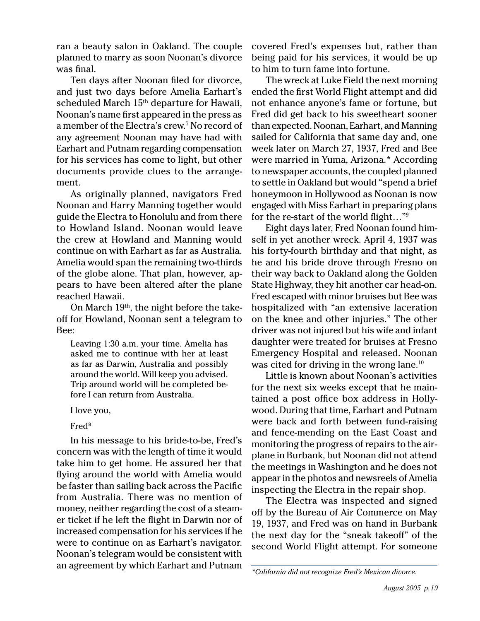ran a beauty salon in Oakland. The couple planned to marry as soon Noonan's divorce was final.

Ten days after Noonan filed for divorce, and just two days before Amelia Earhart's scheduled March 15<sup>th</sup> departure for Hawaii, Noonan's name first appeared in the press as a member of the Electra's crew.7 No record of any agreement Noonan may have had with Earhart and Putnam regarding compensation for his services has come to light, but other documents provide clues to the arrangement.

As originally planned, navigators Fred Noonan and Harry Manning together would guide the Electra to Honolulu and from there to Howland Island. Noonan would leave the crew at Howland and Manning would continue on with Earhart as far as Australia. Amelia would span the remaining two-thirds of the globe alone. That plan, however, appears to have been altered after the plane reached Hawaii.

On March 19<sup>th</sup>, the night before the takeoff for Howland, Noonan sent a telegram to Bee:

Leaving 1:30 a.m. your time. Amelia has asked me to continue with her at least as far as Darwin, Australia and possibly around the world. Will keep you advised. Trip around world will be completed before I can return from Australia.

I love you,

Fred<sup>8</sup>

In his message to his bride-to-be, Fred's concern was with the length of time it would take him to get home. He assured her that flying around the world with Amelia would be faster than sailing back across the Pacific from Australia. There was no mention of money, neither regarding the cost of a steamer ticket if he left the flight in Darwin nor of increased compensation for his services if he were to continue on as Earhart's navigator. Noonan's telegram would be consistent with an agreement by which Earhart and Putnam

covered Fred's expenses but, rather than being paid for his services, it would be up to him to turn fame into fortune.

The wreck at Luke Field the next morning ended the first World Flight attempt and did not enhance anyone's fame or fortune, but Fred did get back to his sweetheart sooner than expected. Noonan, Earhart, and Manning sailed for California that same day and, one week later on March 27, 1937, Fred and Bee were married in Yuma, Arizona.\* According to newspaper accounts, the coupled planned to settle in Oakland but would "spend a brief honeymoon in Hollywood as Noonan is now engaged with Miss Earhart in preparing plans for the re-start of the world flight…"9

Eight days later, Fred Noonan found himself in yet another wreck. April 4, 1937 was his forty-fourth birthday and that night, as he and his bride drove through Fresno on their way back to Oakland along the Golden State Highway, they hit another car head-on. Fred escaped with minor bruises but Bee was hospitalized with "an extensive laceration on the knee and other injuries." The other driver was not injured but his wife and infant daughter were treated for bruises at Fresno Emergency Hospital and released. Noonan was cited for driving in the wrong lane. $10$ 

Little is known about Noonan's activities for the next six weeks except that he maintained a post office box address in Hollywood. During that time, Earhart and Putnam were back and forth between fund-raising and fence-mending on the East Coast and monitoring the progress of repairs to the airplane in Burbank, but Noonan did not attend the meetings in Washington and he does not appear in the photos and newsreels of Amelia inspecting the Electra in the repair shop.

The Electra was inspected and signed off by the Bureau of Air Commerce on May 19, 1937, and Fred was on hand in Burbank the next day for the "sneak takeoff" of the second World Flight attempt. For someone

*\*California did not recognize Fred's Mexican divorce.*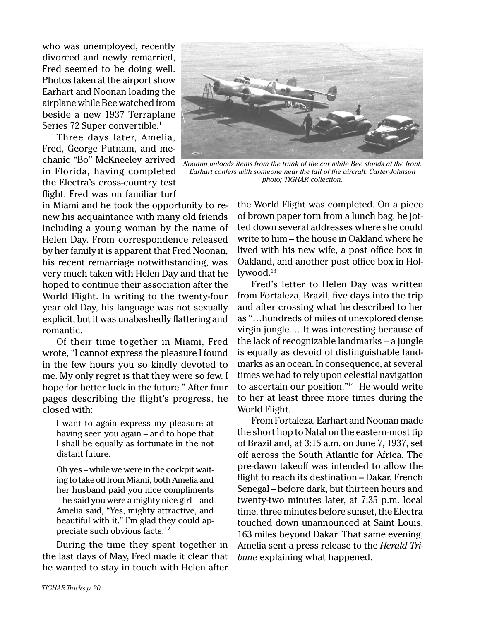who was unemployed, recently divorced and newly remarried, Fred seemed to be doing well. Photos taken at the airport show Earhart and Noonan loading the airplane while Bee watched from beside a new 1937 Terraplane Series 72 Super convertible.<sup>11</sup>

Three days later, Amelia, Fred, George Putnam, and mechanic "Bo" McKneeley arrived in Florida, having completed the Electra's cross-country test flight. Fred was on familiar turf



*Noonan unloads items from the trunk of the car while Bee stands at the front. Earhart confers with someone near the tail of the aircraft. Carter-Johnson photo; TIGHAR collection.*

in Miami and he took the opportunity to renew his acquaintance with many old friends including a young woman by the name of Helen Day. From correspondence released by her family it is apparent that Fred Noonan, his recent remarriage notwithstanding, was very much taken with Helen Day and that he hoped to continue their association after the World Flight. In writing to the twenty-four year old Day, his language was not sexually explicit, but it was unabashedly flattering and romantic.

Of their time together in Miami, Fred wrote, "I cannot express the pleasure I found in the few hours you so kindly devoted to me. My only regret is that they were so few. I hope for better luck in the future." After four pages describing the flight's progress, he closed with:

I want to again express my pleasure at having seen you again – and to hope that I shall be equally as fortunate in the not distant future.

Oh yes – while we were in the cockpit waiting to take off from Miami, both Amelia and her husband paid you nice compliments – he said you were a mighty nice girl – and Amelia said, "Yes, mighty attractive, and beautiful with it." I'm glad they could appreciate such obvious facts.<sup>12</sup>

During the time they spent together in the last days of May, Fred made it clear that he wanted to stay in touch with Helen after the World Flight was completed. On a piece of brown paper torn from a lunch bag, he jotted down several addresses where she could write to him – the house in Oakland where he lived with his new wife, a post office box in Oakland, and another post office box in Hollywood.13

Fred's letter to Helen Day was written from Fortaleza, Brazil, five days into the trip and after crossing what he described to her as "…hundreds of miles of unexplored dense virgin jungle. …It was interesting because of the lack of recognizable landmarks – a jungle is equally as devoid of distinguishable landmarks as an ocean. In consequence, at several times we had to rely upon celestial navigation to ascertain our position."14 He would write to her at least three more times during the World Flight.

From Fortaleza, Earhart and Noonan made the short hop to Natal on the eastern-most tip of Brazil and, at 3:15 a.m. on June 7, 1937, set off across the South Atlantic for Africa. The pre-dawn takeoff was intended to allow the flight to reach its destination – Dakar, French Senegal – before dark, but thirteen hours and twenty-two minutes later, at 7:35 p.m. local time, three minutes before sunset, the Electra touched down unannounced at Saint Louis, 163 miles beyond Dakar. That same evening, Amelia sent a press release to the *Herald Tribune* explaining what happened.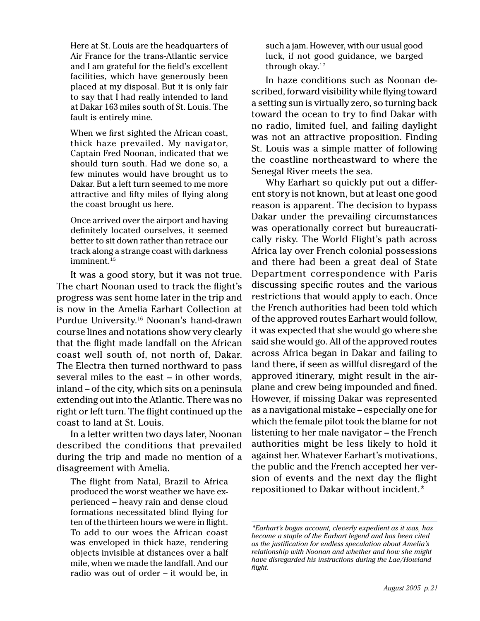Here at St. Louis are the headquarters of Air France for the trans-Atlantic service and I am grateful for the field's excellent facilities, which have generously been placed at my disposal. But it is only fair to say that I had really intended to land at Dakar 163 miles south of St. Louis. The fault is entirely mine.

When we first sighted the African coast, thick haze prevailed. My navigator, Captain Fred Noonan, indicated that we should turn south. Had we done so, a few minutes would have brought us to Dakar. But a left turn seemed to me more attractive and fifty miles of flying along the coast brought us here.

Once arrived over the airport and having definitely located ourselves, it seemed better to sit down rather than retrace our track along a strange coast with darkness imminent.<sup>15</sup>

It was a good story, but it was not true. The chart Noonan used to track the flight's progress was sent home later in the trip and is now in the Amelia Earhart Collection at Purdue University.16 Noonan's hand-drawn course lines and notations show very clearly that the flight made landfall on the African coast well south of, not north of, Dakar. The Electra then turned northward to pass several miles to the east – in other words, inland – of the city, which sits on a peninsula extending out into the Atlantic. There was no right or left turn. The flight continued up the coast to land at St. Louis.

In a letter written two days later, Noonan described the conditions that prevailed during the trip and made no mention of a disagreement with Amelia.

The flight from Natal, Brazil to Africa produced the worst weather we have experienced – heavy rain and dense cloud formations necessitated blind flying for ten of the thirteen hours we were in flight. To add to our woes the African coast was enveloped in thick haze, rendering objects invisible at distances over a half mile, when we made the landfall. And our radio was out of order – it would be, in

such a jam. However, with our usual good luck, if not good guidance, we barged through okay.<sup>17</sup>

In haze conditions such as Noonan described, forward visibility while flying toward a setting sun is virtually zero, so turning back toward the ocean to try to find Dakar with no radio, limited fuel, and failing daylight was not an attractive proposition. Finding St. Louis was a simple matter of following the coastline northeastward to where the Senegal River meets the sea.

Why Earhart so quickly put out a different story is not known, but at least one good reason is apparent. The decision to bypass Dakar under the prevailing circumstances was operationally correct but bureaucratically risky. The World Flight's path across Africa lay over French colonial possessions and there had been a great deal of State Department correspondence with Paris discussing specific routes and the various restrictions that would apply to each. Once the French authorities had been told which of the approved routes Earhart would follow, it was expected that she would go where she said she would go. All of the approved routes across Africa began in Dakar and failing to land there, if seen as willful disregard of the approved itinerary, might result in the airplane and crew being impounded and fined. However, if missing Dakar was represented as a navigational mistake – especially one for which the female pilot took the blame for not listening to her male navigator – the French authorities might be less likely to hold it against her. Whatever Earhart's motivations, the public and the French accepted her version of events and the next day the flight repositioned to Dakar without incident.\*

*<sup>\*</sup>Earhart's bogus account, cleverly expedient as it was, has become a staple of the Earhart legend and has been cited as the justification for endless speculation about Amelia's relationship with Noonan and whether and how she might have disregarded his instructions during the Lae/Howland flight.*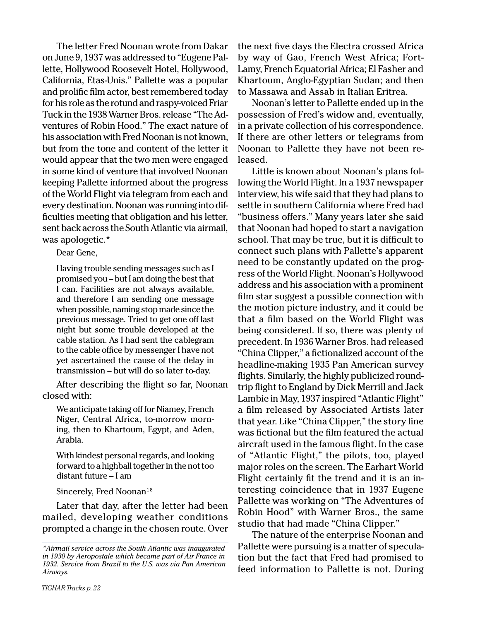The letter Fred Noonan wrote from Dakar on June 9, 1937 was addressed to "Eugene Pallette, Hollywood Roosevelt Hotel, Hollywood, California, Etas-Unis." Pallette was a popular and prolific film actor, best remembered today for his role as the rotund and raspy-voiced Friar Tuck in the 1938 Warner Bros. release "The Adventures of Robin Hood." The exact nature of his association with Fred Noonan is not known, but from the tone and content of the letter it would appear that the two men were engaged in some kind of venture that involved Noonan keeping Pallette informed about the progress of the World Flight via telegram from each and every destination. Noonan was running into difficulties meeting that obligation and his letter, sent back across the South Atlantic via airmail, was apologetic.\*

Dear Gene,

Having trouble sending messages such as I promised you – but I am doing the best that I can. Facilities are not always available, and therefore I am sending one message when possible, naming stop made since the previous message. Tried to get one off last night but some trouble developed at the cable station. As I had sent the cablegram to the cable office by messenger I have not yet ascertained the cause of the delay in transmission – but will do so later to-day.

After describing the flight so far, Noonan closed with:

We anticipate taking off for Niamey, French Niger, Central Africa, to-morrow morning, then to Khartoum, Egypt, and Aden, Arabia.

With kindest personal regards, and looking forward to a highball together in the not too distant future – I am

#### Sincerely, Fred Noonan<sup>18</sup>

Later that day, after the letter had been mailed, developing weather conditions prompted a change in the chosen route. Over the next five days the Electra crossed Africa by way of Gao, French West Africa; Fort-Lamy, French Equatorial Africa; El Fasher and Khartoum, Anglo-Egyptian Sudan; and then to Massawa and Assab in Italian Eritrea.

Noonan's letter to Pallette ended up in the possession of Fred's widow and, eventually, in a private collection of his correspondence. If there are other letters or telegrams from Noonan to Pallette they have not been released.

Little is known about Noonan's plans following the World Flight. In a 1937 newspaper interview, his wife said that they had plans to settle in southern California where Fred had "business offers." Many years later she said that Noonan had hoped to start a navigation school. That may be true, but it is difficult to connect such plans with Pallette's apparent need to be constantly updated on the progress of the World Flight. Noonan's Hollywood address and his association with a prominent film star suggest a possible connection with the motion picture industry, and it could be that a film based on the World Flight was being considered. If so, there was plenty of precedent. In 1936 Warner Bros. had released "China Clipper," a fictionalized account of the headline-making 1935 Pan American survey flights. Similarly, the highly publicized roundtrip flight to England by Dick Merrill and Jack Lambie in May, 1937 inspired "Atlantic Flight" a film released by Associated Artists later that year. Like "China Clipper," the story line was fictional but the film featured the actual aircraft used in the famous flight. In the case of "Atlantic Flight," the pilots, too, played major roles on the screen. The Earhart World Flight certainly fit the trend and it is an interesting coincidence that in 1937 Eugene Pallette was working on "The Adventures of Robin Hood" with Warner Bros., the same studio that had made "China Clipper."

The nature of the enterprise Noonan and Pallette were pursuing is a matter of speculation but the fact that Fred had promised to feed information to Pallette is not. During

*<sup>\*</sup>Airmail service across the South Atlantic was inaugurated in 1930 by Aeropostale which became part of Air France in 1932. Service from Brazil to the U.S. was via Pan American Airways.*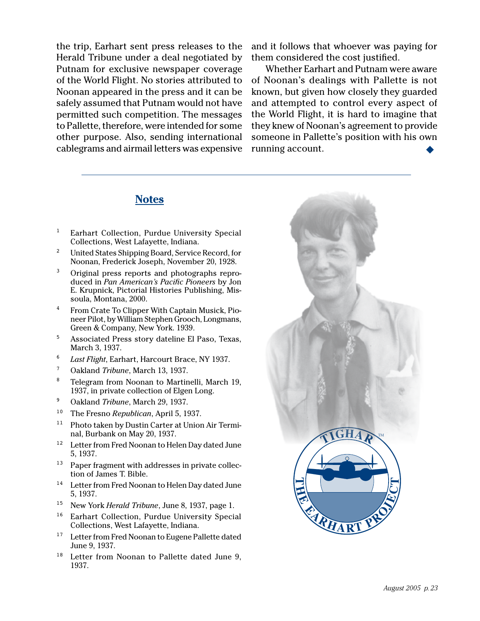the trip, Earhart sent press releases to the Herald Tribune under a deal negotiated by Putnam for exclusive newspaper coverage of the World Flight. No stories attributed to Noonan appeared in the press and it can be safely assumed that Putnam would not have permitted such competition. The messages to Pallette, therefore, were intended for some other purpose. Also, sending international cablegrams and airmail letters was expensive

and it follows that whoever was paying for them considered the cost justified.

Whether Earhart and Putnam were aware of Noonan's dealings with Pallette is not known, but given how closely they guarded and attempted to control every aspect of the World Flight, it is hard to imagine that they knew of Noonan's agreement to provide someone in Pallette's position with his own running account.  $\blacklozenge$ 

### **Notes**

- <sup>1</sup> Earhart Collection, Purdue University Special Collections, West Lafayette, Indiana.
- <sup>2</sup> United States Shipping Board, Service Record, for Noonan, Frederick Joseph, November 20, 1928.
- 3 Original press reports and photographs reproduced in *Pan American's Pacific Pioneers* by Jon E. Krupnick, Pictorial Histories Publishing, Missoula, Montana, 2000.
- 4 From Crate To Clipper With Captain Musick, Pioneer Pilot, by William Stephen Grooch, Longmans, Green & Company, New York. 1939.
- <sup>5</sup> Associated Press story dateline El Paso, Texas, March 3, 1937.
- <sup>6</sup> *Last Flight*, Earhart, Harcourt Brace, NY 1937.
- <sup>7</sup> Oakland *Tribune*, March 13, 1937.
- <sup>8</sup> Telegram from Noonan to Martinelli, March 19, 1937, in private collection of Elgen Long.
- <sup>9</sup> Oakland *Tribune*, March 29, 1937.
- <sup>10</sup> The Fresno *Republican*, April 5, 1937.
- <sup>11</sup> Photo taken by Dustin Carter at Union Air Terminal, Burbank on May 20, 1937.
- <sup>12</sup> Letter from Fred Noonan to Helen Day dated June 5, 1937.
- <sup>13</sup> Paper fragment with addresses in private collection of James T. Bible.
- <sup>14</sup> Letter from Fred Noonan to Helen Day dated June 5, 1937.
- <sup>15</sup> New York *Herald Tribune*, June 8, 1937, page 1.
- <sup>16</sup> Earhart Collection, Purdue University Special Collections, West Lafayette, Indiana.
- <sup>17</sup> Letter from Fred Noonan to Eugene Pallette dated June 9, 1937.
- <sup>18</sup> Letter from Noonan to Pallette dated June 9, 1937.